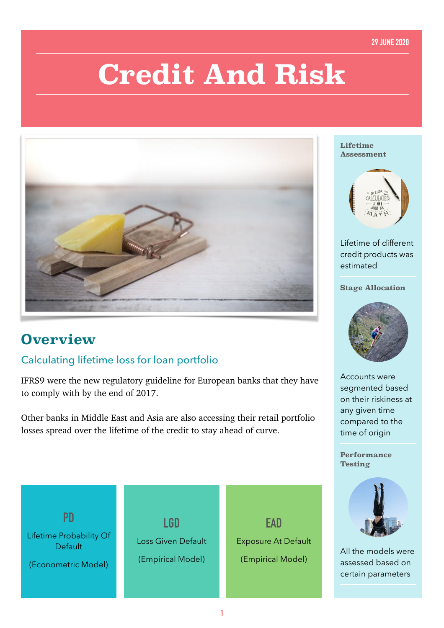#### **29 JUNE 2020**

# **Credit And Risk**



## **Overview**

### Calculating lifetime loss for loan portfolio

IFRS9 were the new regulatory guideline for European banks that they have to comply with by the end of 2017.

Other banks in Middle East and Asia are also accessing their retail portfolio losses spread over the lifetime of the credit to stay ahead of curve.



#### **Lifetime Assessment**



Lifetime of different credit products was estimated

#### **Stage Allocation**



Accounts were segmented based on their riskiness at any given time compared to the time of origin

**Performance Testing** 



All the models were assessed based on certain parameters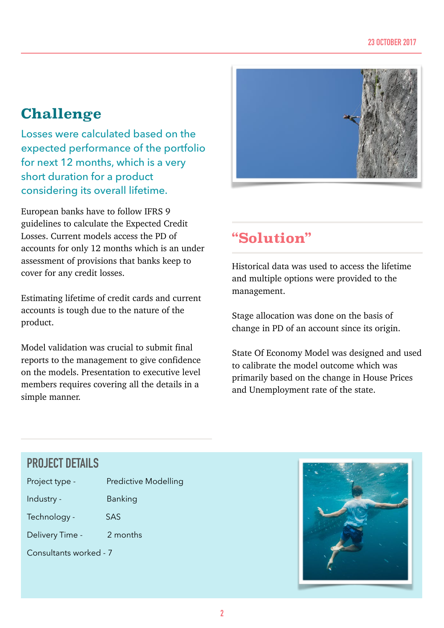# **Challenge**

Losses were calculated based on the expected performance of the portfolio for next 12 months, which is a very short duration for a product considering its overall lifetime.

European banks have to follow IFRS 9 guidelines to calculate the Expected Credit Losses. Current models access the PD of accounts for only 12 months which is an under assessment of provisions that banks keep to cover for any credit losses.

Estimating lifetime of credit cards and current accounts is tough due to the nature of the product.

Model validation was crucial to submit final reports to the management to give confidence on the models. Presentation to executive level members requires covering all the details in a simple manner.



# **"Solution"**

Historical data was used to access the lifetime and multiple options were provided to the management.

Stage allocation was done on the basis of change in PD of an account since its origin.

State Of Economy Model was designed and used to calibrate the model outcome which was primarily based on the change in House Prices and Unemployment rate of the state.

## **PROJECT DETAILS**

| Project type - |  |
|----------------|--|
|----------------|--|

Industry - Banking

Predictive Modelling

Delivery Time - 2 months

Technology - SAS

Consultants worked - 7

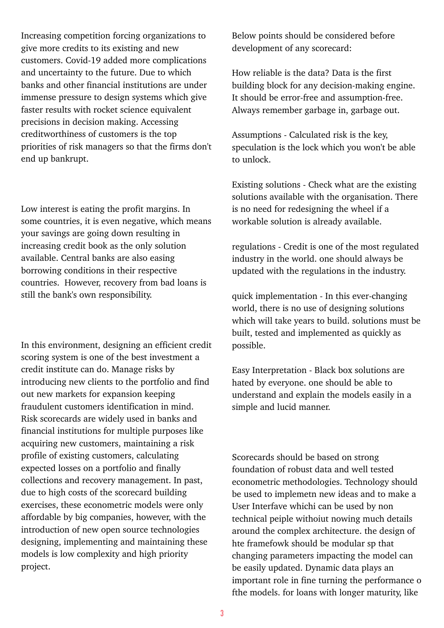Increasing competition forcing organizations to give more credits to its existing and new customers. Covid-19 added more complications and uncertainty to the future. Due to which banks and other financial institutions are under immense pressure to design systems which give faster results with rocket science equivalent precisions in decision making. Accessing creditworthiness of customers is the top priorities of risk managers so that the firms don't end up bankrupt.

Low interest is eating the profit margins. In some countries, it is even negative, which means your savings are going down resulting in increasing credit book as the only solution available. Central banks are also easing borrowing conditions in their respective countries. However, recovery from bad loans is still the bank's own responsibility.

In this environment, designing an efficient credit scoring system is one of the best investment a credit institute can do. Manage risks by introducing new clients to the portfolio and find out new markets for expansion keeping fraudulent customers identification in mind. Risk scorecards are widely used in banks and financial institutions for multiple purposes like acquiring new customers, maintaining a risk profile of existing customers, calculating expected losses on a portfolio and finally collections and recovery management. In past, due to high costs of the scorecard building exercises, these econometric models were only affordable by big companies, however, with the introduction of new open source technologies designing, implementing and maintaining these models is low complexity and high priority project.

Below points should be considered before development of any scorecard:

How reliable is the data? Data is the first building block for any decision-making engine. It should be error-free and assumption-free. Always remember garbage in, garbage out.

Assumptions - Calculated risk is the key, speculation is the lock which you won't be able to unlock.

Existing solutions - Check what are the existing solutions available with the organisation. There is no need for redesigning the wheel if a workable solution is already available.

regulations - Credit is one of the most regulated industry in the world. one should always be updated with the regulations in the industry.

quick implementation - In this ever-changing world, there is no use of designing solutions which will take years to build. solutions must be built, tested and implemented as quickly as possible.

Easy Interpretation - Black box solutions are hated by everyone. one should be able to understand and explain the models easily in a simple and lucid manner.

Scorecards should be based on strong foundation of robust data and well tested econometric methodologies. Technology should be used to implemetn new ideas and to make a User Interfave whichi can be used by non technical peiple withoiut nowing much details around the complex architecture. the design of hte framefowk should be modular sp that changing parameters impacting the model can be easily updated. Dynamic data plays an important role in fine turning the performance o fthe models. for loans with longer maturity, like